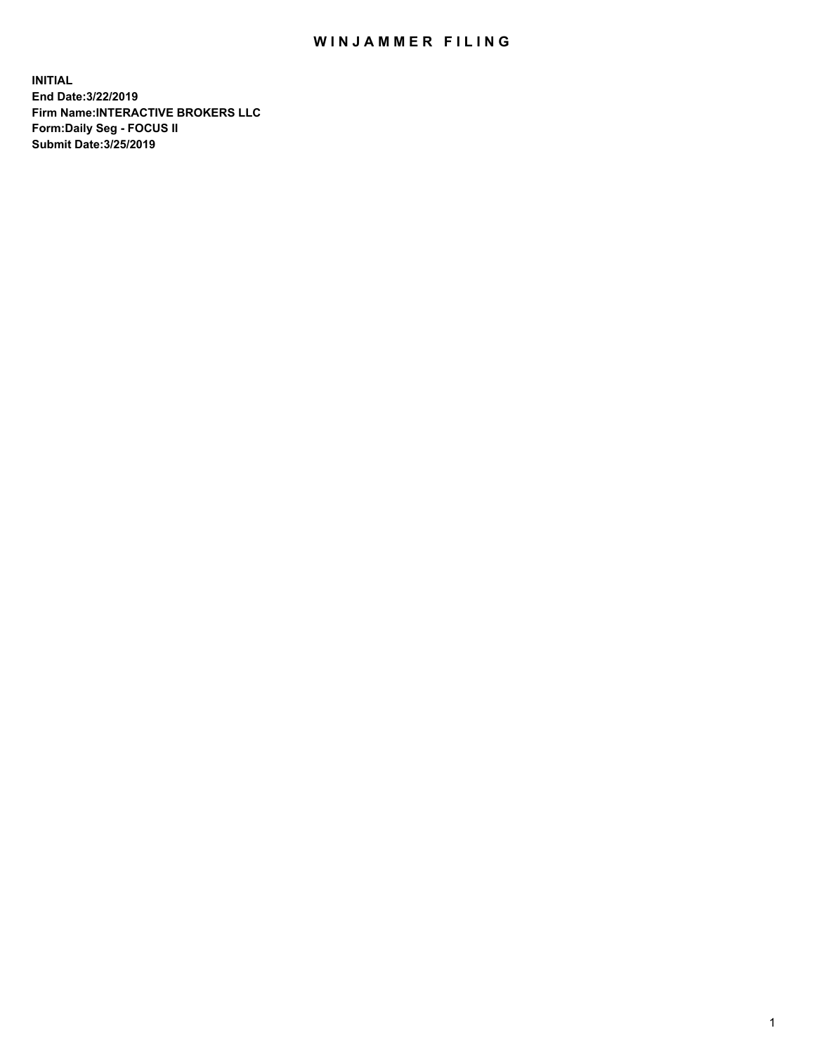## WIN JAMMER FILING

**INITIAL End Date:3/22/2019 Firm Name:INTERACTIVE BROKERS LLC Form:Daily Seg - FOCUS II Submit Date:3/25/2019**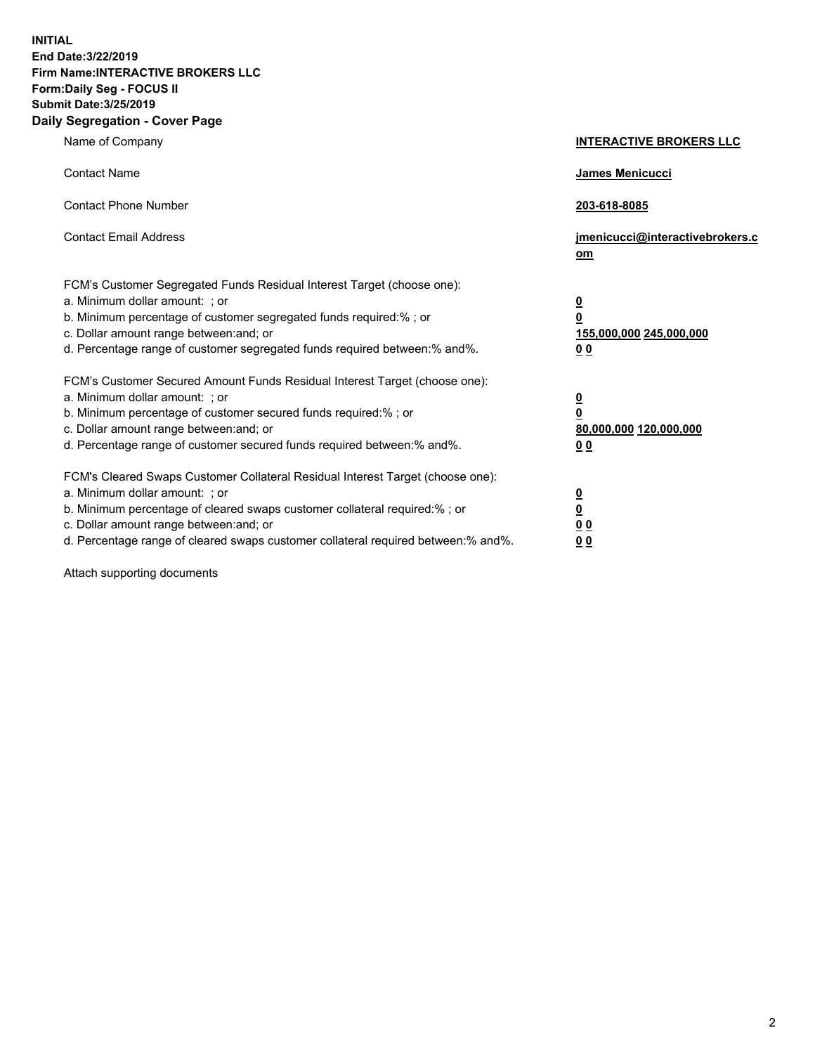**INITIAL End Date:3/22/2019 Firm Name:INTERACTIVE BROKERS LLC Form:Daily Seg - FOCUS II Submit Date:3/25/2019 Daily Segregation - Cover Page**

| Name of Company                                                                                                                                                                                                                                                                                                                | <b>INTERACTIVE BROKERS LLC</b>                                                   |
|--------------------------------------------------------------------------------------------------------------------------------------------------------------------------------------------------------------------------------------------------------------------------------------------------------------------------------|----------------------------------------------------------------------------------|
| <b>Contact Name</b>                                                                                                                                                                                                                                                                                                            | James Menicucci                                                                  |
| <b>Contact Phone Number</b>                                                                                                                                                                                                                                                                                                    | 203-618-8085                                                                     |
| <b>Contact Email Address</b>                                                                                                                                                                                                                                                                                                   | jmenicucci@interactivebrokers.c<br>om                                            |
| FCM's Customer Segregated Funds Residual Interest Target (choose one):<br>a. Minimum dollar amount: ; or<br>b. Minimum percentage of customer segregated funds required:% ; or<br>c. Dollar amount range between: and; or<br>d. Percentage range of customer segregated funds required between:% and%.                         | <u>0</u><br>$\overline{\mathbf{0}}$<br>155,000,000 245,000,000<br>0 <sub>0</sub> |
| FCM's Customer Secured Amount Funds Residual Interest Target (choose one):<br>a. Minimum dollar amount: ; or<br>b. Minimum percentage of customer secured funds required:% ; or<br>c. Dollar amount range between: and; or<br>d. Percentage range of customer secured funds required between:% and%.                           | <u>0</u><br>$\overline{\mathbf{0}}$<br>80,000,000 120,000,000<br>0 <sub>0</sub>  |
| FCM's Cleared Swaps Customer Collateral Residual Interest Target (choose one):<br>a. Minimum dollar amount: ; or<br>b. Minimum percentage of cleared swaps customer collateral required:% ; or<br>c. Dollar amount range between: and; or<br>d. Percentage range of cleared swaps customer collateral required between:% and%. | <u>0</u><br>$\underline{\mathbf{0}}$<br>0 <sub>0</sub><br>0 <sub>0</sub>         |

Attach supporting documents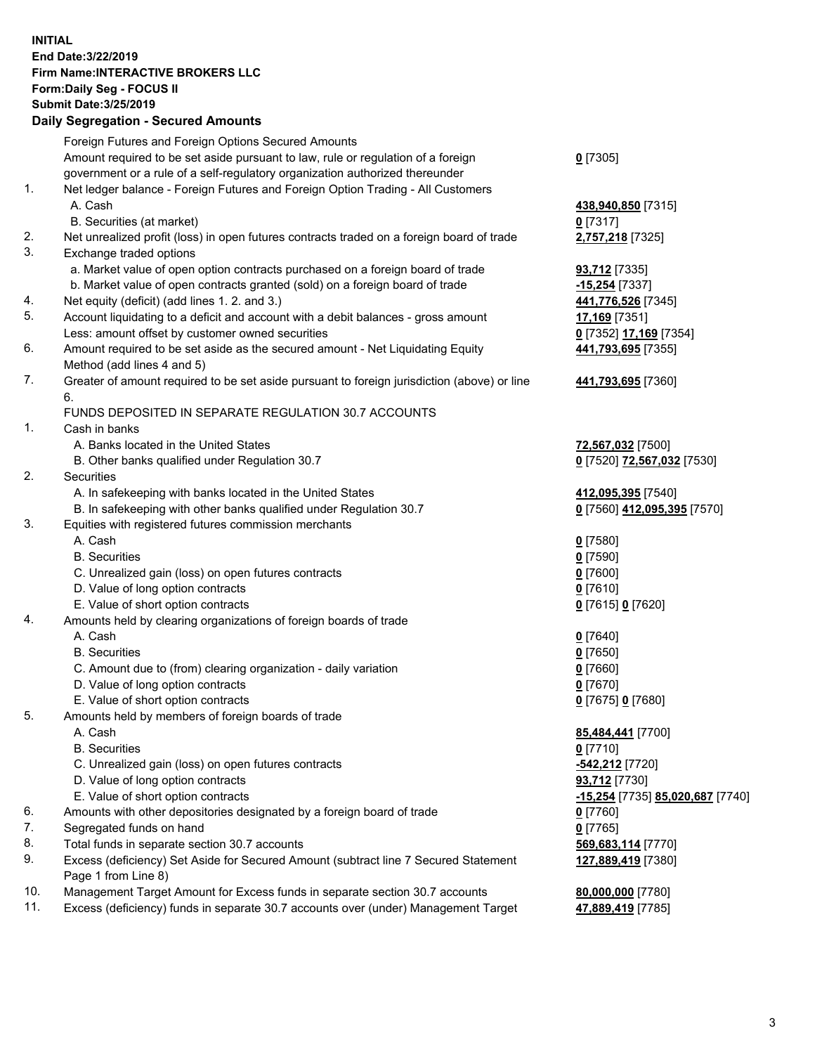## **INITIAL End Date:3/22/2019 Firm Name:INTERACTIVE BROKERS LLC Form:Daily Seg - FOCUS II Submit Date:3/25/2019 Daily Segregation - Secured Amounts**

|                | Daily Ocglegation - Occuled Aniounts                                                                 |                                                 |
|----------------|------------------------------------------------------------------------------------------------------|-------------------------------------------------|
|                | Foreign Futures and Foreign Options Secured Amounts                                                  |                                                 |
|                | Amount required to be set aside pursuant to law, rule or regulation of a foreign                     | $0$ [7305]                                      |
|                | government or a rule of a self-regulatory organization authorized thereunder                         |                                                 |
| $\mathbf{1}$ . | Net ledger balance - Foreign Futures and Foreign Option Trading - All Customers                      |                                                 |
|                | A. Cash                                                                                              | 438,940,850 [7315]                              |
|                | B. Securities (at market)                                                                            | $0$ [7317]                                      |
| 2.             | Net unrealized profit (loss) in open futures contracts traded on a foreign board of trade            | 2,757,218 [7325]                                |
| 3.             | Exchange traded options                                                                              |                                                 |
|                | a. Market value of open option contracts purchased on a foreign board of trade                       | <b>93,712</b> [7335]                            |
|                | b. Market value of open contracts granted (sold) on a foreign board of trade                         | -15,254 [7337]                                  |
| 4.             | Net equity (deficit) (add lines 1. 2. and 3.)                                                        | 441,776,526 [7345]                              |
| 5.             | Account liquidating to a deficit and account with a debit balances - gross amount                    | 17,169 [7351]                                   |
|                | Less: amount offset by customer owned securities                                                     | 0 [7352] 17,169 [7354]                          |
| 6.             | Amount required to be set aside as the secured amount - Net Liquidating Equity                       | 441,793,695 [7355]                              |
|                | Method (add lines 4 and 5)                                                                           |                                                 |
| 7.             | Greater of amount required to be set aside pursuant to foreign jurisdiction (above) or line<br>6.    | 441,793,695 [7360]                              |
|                | FUNDS DEPOSITED IN SEPARATE REGULATION 30.7 ACCOUNTS                                                 |                                                 |
| $\mathbf{1}$ . | Cash in banks                                                                                        |                                                 |
|                | A. Banks located in the United States                                                                |                                                 |
|                |                                                                                                      | 72,567,032 [7500]<br>0 [7520] 72,567,032 [7530] |
| 2.             | B. Other banks qualified under Regulation 30.7<br>Securities                                         |                                                 |
|                | A. In safekeeping with banks located in the United States                                            | 412,095,395 [7540]                              |
|                | B. In safekeeping with other banks qualified under Regulation 30.7                                   |                                                 |
| 3.             | Equities with registered futures commission merchants                                                | 0 [7560] 412,095,395 [7570]                     |
|                | A. Cash                                                                                              | $0$ [7580]                                      |
|                | <b>B.</b> Securities                                                                                 | $0$ [7590]                                      |
|                | C. Unrealized gain (loss) on open futures contracts                                                  | $0$ [7600]                                      |
|                | D. Value of long option contracts                                                                    | $0$ [7610]                                      |
|                | E. Value of short option contracts                                                                   | 0 [7615] 0 [7620]                               |
| 4.             | Amounts held by clearing organizations of foreign boards of trade                                    |                                                 |
|                | A. Cash                                                                                              | $0$ [7640]                                      |
|                | <b>B.</b> Securities                                                                                 | $0$ [7650]                                      |
|                |                                                                                                      | $0$ [7660]                                      |
|                | C. Amount due to (from) clearing organization - daily variation<br>D. Value of long option contracts | $0$ [7670]                                      |
|                | E. Value of short option contracts                                                                   | 0 [7675] 0 [7680]                               |
| 5.             | Amounts held by members of foreign boards of trade                                                   |                                                 |
|                | A. Cash                                                                                              | 85,484,441 [7700]                               |
|                | <b>B.</b> Securities                                                                                 | $0$ [7710]                                      |
|                | C. Unrealized gain (loss) on open futures contracts                                                  | -542,212 [7720]                                 |
|                | D. Value of long option contracts                                                                    | 93,712 [7730]                                   |
|                | E. Value of short option contracts                                                                   | -15,254 [7735] 85,020,687 [7740]                |
| 6.             | Amounts with other depositories designated by a foreign board of trade                               | 0 [7760]                                        |
| 7.             | Segregated funds on hand                                                                             |                                                 |
| 8.             | Total funds in separate section 30.7 accounts                                                        | $0$ [7765]                                      |
| 9.             | Excess (deficiency) Set Aside for Secured Amount (subtract line 7 Secured Statement                  | 569,683,114 [7770]                              |
|                | Page 1 from Line 8)                                                                                  | 127,889,419 [7380]                              |
| 10.            | Management Target Amount for Excess funds in separate section 30.7 accounts                          | 80,000,000 [7780]                               |
| 11.            | Excess (deficiency) funds in separate 30.7 accounts over (under) Management Target                   | 47,889,419 [7785]                               |
|                |                                                                                                      |                                                 |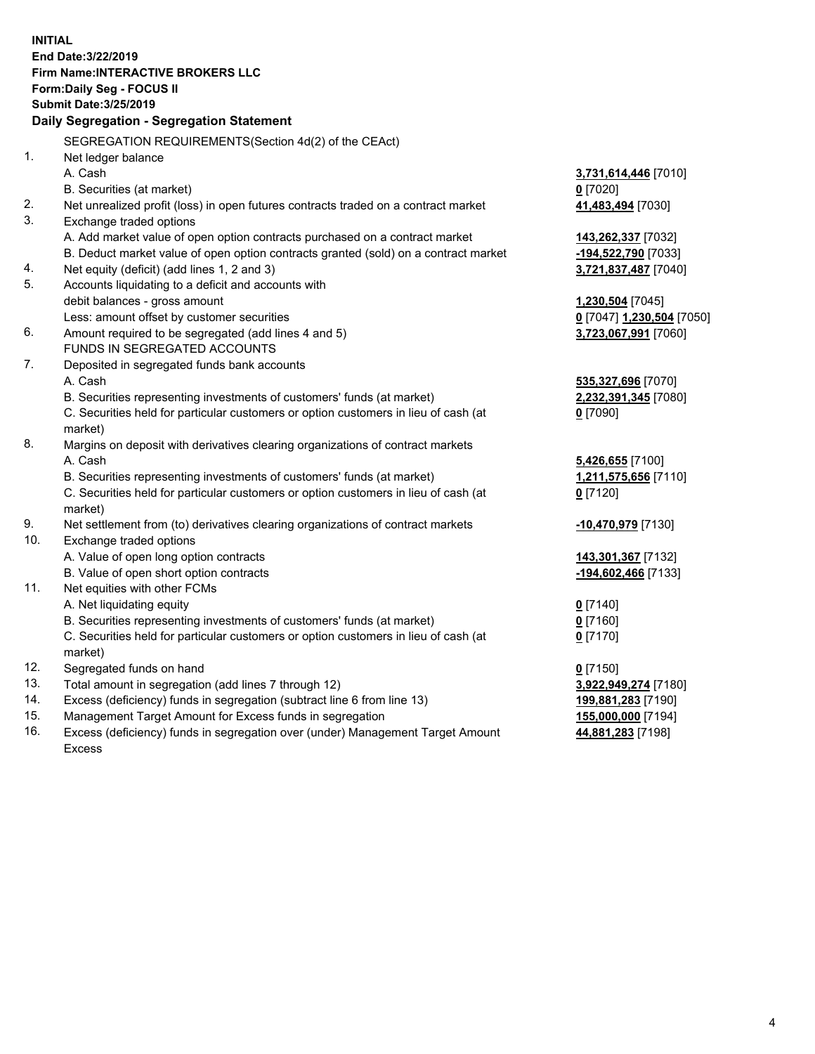**INITIAL End Date:3/22/2019 Firm Name:INTERACTIVE BROKERS LLC Form:Daily Seg - FOCUS II Submit Date:3/25/2019 Daily Segregation - Segregation Statement** SEGREGATION REQUIREMENTS(Section 4d(2) of the CEAct) 1. Net ledger balance A. Cash **3,731,614,446** [7010] B. Securities (at market) **0** [7020] 2. Net unrealized profit (loss) in open futures contracts traded on a contract market **41,483,494** [7030] 3. Exchange traded options A. Add market value of open option contracts purchased on a contract market **143,262,337** [7032] B. Deduct market value of open option contracts granted (sold) on a contract market **-194,522,790** [7033] 4. Net equity (deficit) (add lines 1, 2 and 3) **3,721,837,487** [7040] 5. Accounts liquidating to a deficit and accounts with debit balances - gross amount **1,230,504** [7045] Less: amount offset by customer securities **0** [7047] **1,230,504** [7050] 6. Amount required to be segregated (add lines 4 and 5) **3,723,067,991** [7060] FUNDS IN SEGREGATED ACCOUNTS 7. Deposited in segregated funds bank accounts A. Cash **535,327,696** [7070] B. Securities representing investments of customers' funds (at market) **2,232,391,345** [7080] C. Securities held for particular customers or option customers in lieu of cash (at market) **0** [7090] 8. Margins on deposit with derivatives clearing organizations of contract markets A. Cash **5,426,655** [7100] B. Securities representing investments of customers' funds (at market) **1,211,575,656** [7110] C. Securities held for particular customers or option customers in lieu of cash (at market) **0** [7120] 9. Net settlement from (to) derivatives clearing organizations of contract markets **-10,470,979** [7130] 10. Exchange traded options A. Value of open long option contracts **143,301,367** [7132] B. Value of open short option contracts **-194,602,466** [7133] 11. Net equities with other FCMs A. Net liquidating equity **0** [7140] B. Securities representing investments of customers' funds (at market) **0** [7160] C. Securities held for particular customers or option customers in lieu of cash (at market) **0** [7170] 12. Segregated funds on hand **0** [7150] 13. Total amount in segregation (add lines 7 through 12) **3,922,949,274** [7180] 14. Excess (deficiency) funds in segregation (subtract line 6 from line 13) **199,881,283** [7190] 15. Management Target Amount for Excess funds in segregation **155,000,000** [7194]

16. Excess (deficiency) funds in segregation over (under) Management Target Amount Excess

**44,881,283** [7198]